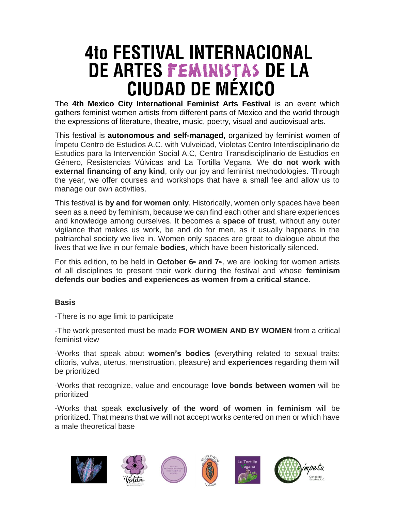## **4to FESTIVAL INTERNACIONAL** DE ARTES FEMINISTAS DE LA **CIUDAD DE MÉXICO**

The **4th Mexico City International Feminist Arts Festival** is an event which gathers feminist women artists from different parts of Mexico and the world through the expressions of literature, theatre, music, poetry, visual and audiovisual arts.

This festival is **autonomous and self-managed**, organized by feminist women of Ímpetu Centro de Estudios A.C. with Vulveidad, Violetas Centro Interdisciplinario de Estudios para la Intervención Social A.C, Centro Transdisciplinario de Estudios en Género, Resistencias Vúlvicas and La Tortilla Vegana. We **do not work with external financing of any kind**, only our joy and feminist methodologies. Through the year, we offer courses and workshops that have a small fee and allow us to manage our own activities.

This festival is **by and for women only**. Historically, women only spaces have been seen as a need by feminism, because we can find each other and share experiences and knowledge among ourselves. It becomes a **space of trust**, without any outer vigilance that makes us work, be and do for men, as it usually happens in the patriarchal society we live in. Women only spaces are great to dialogue about the lives that we live in our female **bodies**, which have been historically silenced.

For this edition, to be held in **October 6th and 7th** , we are looking for women artists of all disciplines to present their work during the festival and whose **feminism defends our bodies and experiences as women from a critical stance**.

## **Basis**

-There is no age limit to participate

-The work presented must be made **FOR WOMEN AND BY WOMEN** from a critical feminist view

-Works that speak about **women's bodies** (everything related to sexual traits: clitoris, vulva, uterus, menstruation, pleasure) and **experiences** regarding them will be prioritized

-Works that recognize, value and encourage **love bonds between women** will be prioritized

-Works that speak **exclusively of the word of women in feminism** will be prioritized. That means that we will not accept works centered on men or which have a male theoretical base

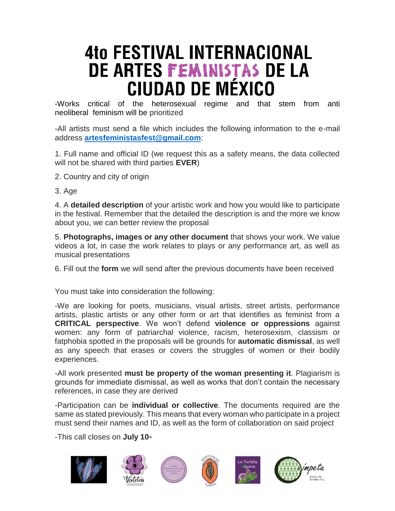## **4to FESTIVAL INTERNACIONAL** DE ARTES FEMINISTAS DE LA CIUDAD DE MÉXICO

-Works critical of the heterosexual regime and that stem from anti neoliberal feminism will be prioritized

-All artists must send a file which includes the following information to the e-mail address **[artesfeministasfest@gmail.com](mailto:artesfeministasfest@gmail.com)**:

1. Full name and official ID (we request this as a safety means, the data collected will not be shared with third parties **EVER**)

- 2. Country and city of origin
- 3. Age

4. A **detailed description** of your artistic work and how you would like to participate in the festival. Remember that the detailed the description is and the more we know about you, we can better review the proposal

5. **Photographs, images or any other document** that shows your work. We value videos a lot, in case the work relates to plays or any performance art, as well as musical presentations

6. Fill out the **form** we will send after the previous documents have been received

You must take into consideration the following:

-We are looking for poets, musicians, visual artists, street artists, performance artists, plastic artists or any other form or art that identifies as feminist from a **CRITICAL perspective**. We won't defend **violence or oppressions** against women: any form of patriarchal violence, racism, heterosexism, classism or fatphobia spotted in the proposals will be grounds for **automatic dismissal**, as well as any speech that erases or covers the struggles of women or their bodily experiences.

-All work presented **must be property of the woman presenting it**. Plagiarism is grounds for immediate dismissal, as well as works that don't contain the necessary references, in case they are derived

-Participation can be **individual or collective**. The documents required are the same as stated previously. This means that every woman who participate in a project must send their names and ID, as well as the form of collaboration on said project

-This call closes on **July 10th**